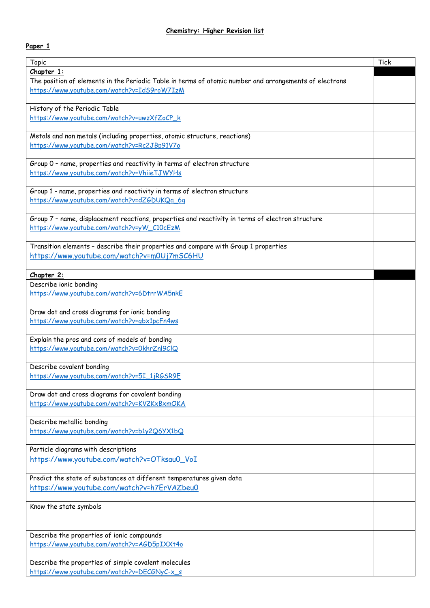## **Paper 1**

| Topic                                                                                                                              | <b>Tick</b> |
|------------------------------------------------------------------------------------------------------------------------------------|-------------|
| Chapter 1:                                                                                                                         |             |
| The position of elements in the Periodic Table in terms of atomic number and arrangements of electrons                             |             |
| https://www.youtube.com/watch?v=IdS9roW7IzM                                                                                        |             |
|                                                                                                                                    |             |
| History of the Periodic Table                                                                                                      |             |
| https://www.youtube.com/watch?v=uwzXfZoCP_k                                                                                        |             |
|                                                                                                                                    |             |
| Metals and non metals (including properties, atomic structure, reactions)<br>https://www.youtube.com/watch?v=Rc2JBp91V7o           |             |
|                                                                                                                                    |             |
| Group 0 - name, properties and reactivity in terms of electron structure                                                           |             |
| https://www.youtube.com/watch?v=VhiieTJWYHs                                                                                        |             |
|                                                                                                                                    |             |
| Group 1 - name, properties and reactivity in terms of electron structure                                                           |             |
| https://www.youtube.com/watch?v=dZGDUKQa_6g                                                                                        |             |
|                                                                                                                                    |             |
| Group 7 - name, displacement reactions, properties and reactivity in terms of electron structure                                   |             |
| https://www.youtube.com/watch?v=yW_C10cEzM                                                                                         |             |
|                                                                                                                                    |             |
| Transition elements - describe their properties and compare with Group 1 properties<br>https://www.youtube.com/watch?v=m0Uj7mSC6HU |             |
|                                                                                                                                    |             |
| Chapter 2:                                                                                                                         |             |
| Describe ionic bonding                                                                                                             |             |
| https://www.youtube.com/watch?v=6DtrrWA5nkE                                                                                        |             |
|                                                                                                                                    |             |
| Draw dot and cross diagrams for ionic bonding                                                                                      |             |
| https://www.youtube.com/watch?v=gbx1pcFn4ws                                                                                        |             |
|                                                                                                                                    |             |
| Explain the pros and cons of models of bonding                                                                                     |             |
| https://www.youtube.com/watch?v=0khrZnl9ClQ                                                                                        |             |
| Describe covalent bonding                                                                                                          |             |
| https://www.youtube.com/watch?v=5I_1jRGSR9E                                                                                        |             |
|                                                                                                                                    |             |
| Draw dot and cross diagrams for covalent bonding                                                                                   |             |
| https://www.youtube.com/watch?v=KV2KxBxmOKA                                                                                        |             |
|                                                                                                                                    |             |
| Describe metallic bonding                                                                                                          |             |
| https://www.youtube.com/watch?v=b1y2Q6YX1bQ                                                                                        |             |
|                                                                                                                                    |             |
| Particle diagrams with descriptions                                                                                                |             |
| https://www.youtube.com/watch?v=OTksau0 VoI                                                                                        |             |
| Predict the state of substances at different temperatures given data                                                               |             |
| https://www.youtube.com/watch?v=h7ErVAZbeu0                                                                                        |             |
|                                                                                                                                    |             |
| Know the state symbols                                                                                                             |             |
|                                                                                                                                    |             |
|                                                                                                                                    |             |
| Describe the properties of ionic compounds                                                                                         |             |
| https://www.youtube.com/watch?v=AGD5pIXXt4o                                                                                        |             |
|                                                                                                                                    |             |
| Describe the properties of simple covalent molecules                                                                               |             |
| https://www.youtube.com/watch?v=DECGNyC-x_s                                                                                        |             |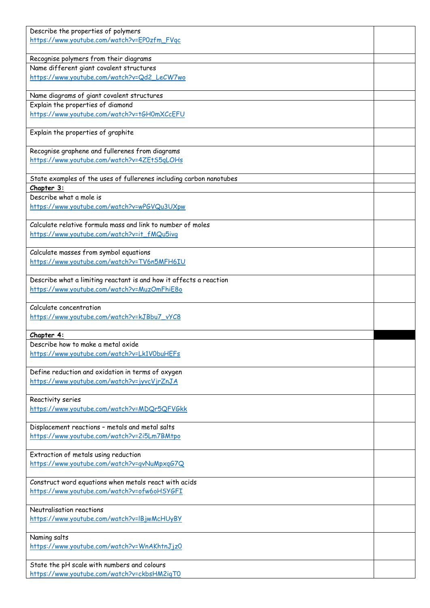| Describe the properties of polymers                                                                  |  |
|------------------------------------------------------------------------------------------------------|--|
| https://www.youtube.com/watch?v=EP0zfm_FVqc                                                          |  |
| Recognise polymers from their diagrams                                                               |  |
| Name different giant covalent structures                                                             |  |
| https://www.youtube.com/watch?v=Qd2_LeCW7wo                                                          |  |
|                                                                                                      |  |
| Name diagrams of giant covalent structures                                                           |  |
| Explain the properties of diamond<br>https://www.youtube.com/watch?v=tGH0mXCcEFU                     |  |
|                                                                                                      |  |
| Explain the properties of graphite                                                                   |  |
|                                                                                                      |  |
| Recognise graphene and fullerenes from diagrams                                                      |  |
| https://www.youtube.com/watch?v=4ZEtS5qLOHs                                                          |  |
| State examples of the uses of fullerenes including carbon nanotubes                                  |  |
| Chapter 3:                                                                                           |  |
| Describe what a mole is                                                                              |  |
| https://www.youtube.com/watch?v=wPGVQu3UXpw                                                          |  |
| Calculate relative formula mass and link to number of moles                                          |  |
| https://www.youtube.com/watch?v=it_fMQu5ivg                                                          |  |
|                                                                                                      |  |
| Calculate masses from symbol equations                                                               |  |
| https://www.youtube.com/watch?v=TV6n5MFH6IU                                                          |  |
| Describe what a limiting reactant is and how it affects a reaction                                   |  |
| https://www.youtube.com/watch?v=MuzOmFhiE8o                                                          |  |
|                                                                                                      |  |
| Calculate concentration                                                                              |  |
| https://www.youtube.com/watch?v=kJBbu7_vYC8                                                          |  |
| Chapter 4:                                                                                           |  |
| Describe how to make a metal oxide                                                                   |  |
| https://www.youtube.com/watch?v=Lk1VObuHEFs                                                          |  |
|                                                                                                      |  |
| Define reduction and oxidation in terms of oxygen                                                    |  |
| https://www.youtube.com/watch?v=jyvcVjrZnJA                                                          |  |
| Reactivity series                                                                                    |  |
| https://www.youtube.com/watch?v=MDQr5QFVGkk                                                          |  |
|                                                                                                      |  |
| Displacement reactions - metals and metal salts<br>https://www.youtube.com/watch?v=2i5Lm7BMtpo       |  |
|                                                                                                      |  |
| Extraction of metals using reduction                                                                 |  |
| https://www.youtube.com/watch?v=gvNuMpxgG7Q                                                          |  |
|                                                                                                      |  |
| Construct word equations when metals react with acids<br>https://www.youtube.com/watch?v=ofw6oHSYGFI |  |
|                                                                                                      |  |
| Neutralisation reactions                                                                             |  |
| https://www.youtube.com/watch?v=lBjwMcHUyBY                                                          |  |
|                                                                                                      |  |
| Naming salts<br>https://www.youtube.com/watch?v=WnAKhtnJjz0                                          |  |
|                                                                                                      |  |
| State the pH scale with numbers and colours                                                          |  |
| https://www.youtube.com/watch?v=ckbsHM2igT0                                                          |  |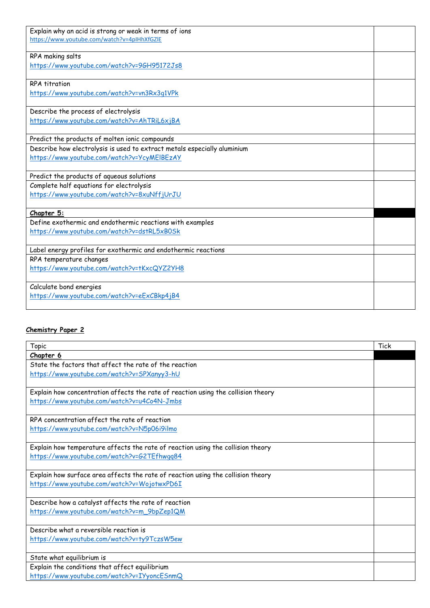| Explain why an acid is strong or weak in terms of ions                   |  |
|--------------------------------------------------------------------------|--|
| https://www.youtube.com/watch?v=4pIHhXfGZIE                              |  |
| RPA making salts                                                         |  |
| https://www.youtube.com/watch?v=96H95172Js8                              |  |
|                                                                          |  |
| <b>RPA</b> titration                                                     |  |
| https://www.youtube.com/watch?v=vn3Rx3q1VPk                              |  |
|                                                                          |  |
| Describe the process of electrolysis                                     |  |
| https://www.youtube.com/watch?v=AhTRiL6xjBA                              |  |
|                                                                          |  |
| Predict the products of molten ionic compounds                           |  |
| Describe how electrolysis is used to extract metals especially aluminium |  |
| https://www.youtube.com/watch?v=YcyMEIBEzAY                              |  |
|                                                                          |  |
| Predict the products of aqueous solutions                                |  |
| Complete half equations for electrolysis                                 |  |
| https://www.youtube.com/watch?v=8xuNffjUrJU                              |  |
|                                                                          |  |
| Chapter 5:                                                               |  |
| Define exothermic and endothermic reactions with examples                |  |
| https://www.youtube.com/watch?v=dstRL5xB0Sk                              |  |
|                                                                          |  |
| Label energy profiles for exothermic and endothermic reactions           |  |
| RPA temperature changes                                                  |  |
| https://www.youtube.com/watch?v=tKxcQYZ2YH8                              |  |
|                                                                          |  |
| Calculate bond energies                                                  |  |
| https://www.youtube.com/watch?v=eExCBkp4jB4                              |  |
|                                                                          |  |

## **Chemistry Paper 2**

| Topic                                                                             | Tick |
|-----------------------------------------------------------------------------------|------|
| Chapter 6                                                                         |      |
| State the factors that affect the rate of the reaction                            |      |
| https://www.youtube.com/watch?v=SPXanyy3-hU                                       |      |
| Explain how concentration affects the rate of reaction using the collision theory |      |
| https://www.youtube.com/watch?v=u4Co4N-Jmbs                                       |      |
| RPA concentration affect the rate of reaction                                     |      |
| https://www.youtube.com/watch?v=N5p06i9ilmo                                       |      |
| Explain how temperature affects the rate of reaction using the collision theory   |      |
| https://www.youtube.com/watch?v=G2TEfhwgq84                                       |      |
| Explain how surface area affects the rate of reaction using the collision theory  |      |
| https://www.youtube.com/watch?v=WojotwxPD6I                                       |      |
| Describe how a catalyst affects the rate of reaction                              |      |
| https://www.youtube.com/watch?v=m_9bpZep1QM                                       |      |
| Describe what a reversible reaction is                                            |      |
| https://www.youtube.com/watch?v=ty9TczsW5ew                                       |      |
| State what equilibrium is                                                         |      |
| Explain the conditions that affect equilibrium                                    |      |
| https://www.youtube.com/watch?v=IYyoncESnmQ                                       |      |